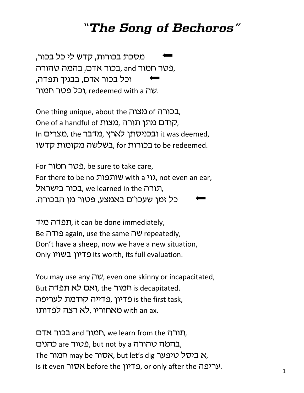## *"The Song of Bechoros"*

מסכת בכורות, קדש לי כל בכור, eטר חמור and ,בכור אדם, בהמה טהורה, וכל בכור אדם, בבניך תפדה, רכל פטר חמור. redeemed with a יעה.

**Cone thing unique, about the מצוה of cone thing unique, about the** One of a handful of ,טרדם מתן תורה, In ובכניסתו לארץ, מדבר t was deemed, בשלשה מקומות קדשו. for purus to be redeemed.

For רבטר חמור, be sure to take care, For there to be no וועמות with a גוי, not even an ear, תורה rufarned in the בכור בישראל, כל זמן שעכו"ם באמצע, פטור מן הבכורה.

תפדה מיד, it can be done immediately, Be עה again, use the same שה epeatedly, Don't have a sheep, now we have a new situation, Only פדיון בשויו its worth, its full evaluation.

You may use any  $\nabla y$ , even one skinny or incapacitated, But המור, the ואם לא תפדה, the runk is decapitated. ו פריון ,פדייה קודמת לעריפה is the first task, מאחוריו, לא רצה לפדותו with an ax.

תורה and רומור, we learn from the העורה, בהמה טהורה are וby a כהנים, but not by a בהמה The רמור may be אסור, but let's dig א ביסל טיפער, Is it even **IUX** before the בדיון. or only after the ven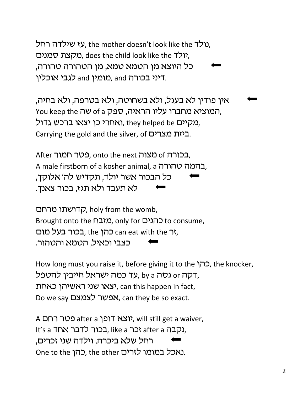נולדה רחל, the mother doesn't look like the נולד. מקצת סמנים, does the child look like the ו/ כל היוצא מן הטמא טמא, מן הטהורה טהורה, מומין and כגבי אוכלין, and ראוכלין.

אין פודין לא בעגל, ולא בשחוטה, ולא בטרפה, ולא בחיה, You keep the שה of a רמוציא מחברו עליו הראיה, ספק מקיים they helped be ואחרי כן יצאו ברכש גדול. Carrying the gold and the silver, of ביזת מצרים.

After בכורה of מצוה onto the next פטר חמור, A male firstborn of a kosher animal, a בהמה טהורה. כל הבכור אשר יולד, תקדיש לה' אלוקך, לא תעבד ולא תגז, בכור צאנך.

קדושתו מרחם, choly from the womb, Brought onto the מזבח (מובח b consume, רהן the כהן, the כהן can eat with the ה, כצבי וכאיל, הטמא והטהור.

How long must you raise it, before giving it to the  $\Box$ , the knocker, עד כמה ישראל חייבין להטפל, by a דקה or דו יצאו שני ראשיהן כאחת), can this happen in fact, Do we say *לצמצם*, can they be so exact.

A מטר רחם, will still get a waiver, It's a תלבר אחד like a זכר after a נקבה. רחל שלא ביכרה, וילדה שני זכרים, One to the כהן, the other Cתומו לזרים.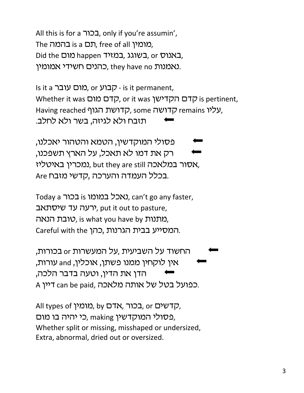All this is for a בכור<sub>ה</sub> only if you're assumin', The כמומין, free of all המומין, Did the כאנוס, בשוגג, במזיד, במאנוס, or נאמנות they have no ,כהנים חשידי אמומין.

Is it a רקבוע, or קבוע - is it permanent, Whether it was **סדם הקדישן** or it was וקדם הקדישן, is pertinent, Having reached קדושה, some קדושת remains y, תזבח ולא לגיזה, בשר ולא לחלב.

'פסולי המוקדשין, הטמא והטהור יאכלנו, רק את דמו לא תאכל, על הארץ תשפכנו, נמכרין באיטליז, but they are still אסור במלאכה, Are בכלל העמדה והערכה, קדשי מזבח.

Today a נאכל במומו is נאכל, can't go any faster, רעה עד שיסתאב), put it out to pasture, מתנות  $v$ t, is what you have by מתנות, Careful with the המסייע בבית הגרנות,

החשוד על השביעית ,על המעשרות or בכורות, אין לוקחין ממנו פשתן, אוכלין, and עורות, הדן את הדין, וטעה בדבר הלכה, A כפועל בטל של אותה מלאכה.

All types of *בכור*, אדם, by כאר All types of ה פסולי המוקדשין making כי יהיה בו מום, Whether split or missing, misshaped or undersized, Extra, abnormal, dried out or oversized.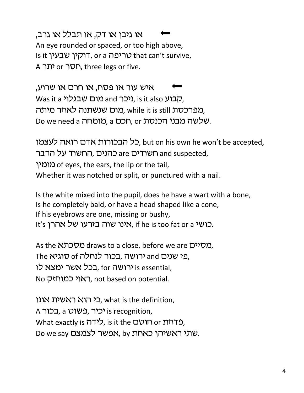או גיבן או דק, או תבלל או גרב, An eye rounded or spaced, or too high above, Is it טריפה, or a סריפה that can't survive, A חסר or תר, three legs or five.

איש עור או פסח, או חרם או שרוע, Was it a יהבוע, is it also ניכר, and מום שבגלוי, מפרכסת while it is still מום שנשתנה לאחר מיתה, Do we need a כמומחה, or הכם, or הלטה מבני הכנסת.

כל הבכורות אדם רואה לעצמו, but on his own he won't be accepted, e כהנים, החשוד על הדבר and suspected, ihnun of eyes, the ears, the lip or the tail, Whether it was notched or split, or punctured with a nail.

Is the white mixed into the pupil, does he have a wart with a bone, Is he completely bald, or have a head shaped like a cone, If his eyebrows are one, missing or bushy, It's יכושי אהרן. if he is too fat or a אינו שוה בזרעו של $\lambda$ .

As the *מסיים* draws to a close, before we are *מסיים*, The נרושה בכור לנחלה of סוגיא and כאו $\mu$  and בכל אשר ימצא לו for הוו is essential, No ראוי כמוחזק, not based on potential.

כי הוא ראשית אונו, what is the definition, A בכור, a יכיר, פשוט, a בכור, What exactly is כדחת or הוטם, is it the טוטם, Do we say שתי ראשיהן כאחת, by אפשר לצמצם.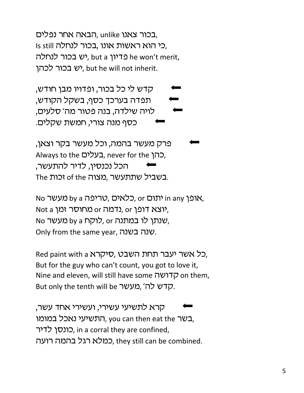בכור צאנו unlike ,הבאה אחר נפלים, Is still כי הוא ראשות אונו, בכור לנחלה, יש בכור לנחלה, but a יע בכור לנחלה יש בכור לכהו, but he will not inherit.

קדש לי כל בכור, ופדויו מבן חודש, 'תפדה בערכך כסף, בשקל הקודש, לויה שילדה, בנה פטור מה' סלעים, כסף מנה צורי, חמשת שקלים.

פרק מעשר בהמה, וכל מעשר בקר וצאן, Always to the בעלים, never for the ה), הכל נכנסיו, לדיר להתעשר, The יכות of the כמצוה, מצוה

No מעשר by a הכלאים, or כלאים, or אופן, in any אופן, Not a ווצא דופן, or נדמה or ipus, No שנתן לו במתנה or לוקח by a מעשר. Only from the same year, שנה בשנה.

Red paint with a רל אשר יעבר תחת השבט, סיקרא, But for the guy who can't count, you got to love it, Nine and eleven, will still have some קדושה on them, But only the tenth will be רְדש לה', מעשר.

קרא לתשיעי עשירי, ועשירי אחד עשר, בשר you can then eat the התשיעי נאכל במומו, כונסן לדיר, in a corral they are confined, כמלא רגל בהמה רועה. they still can be combined.